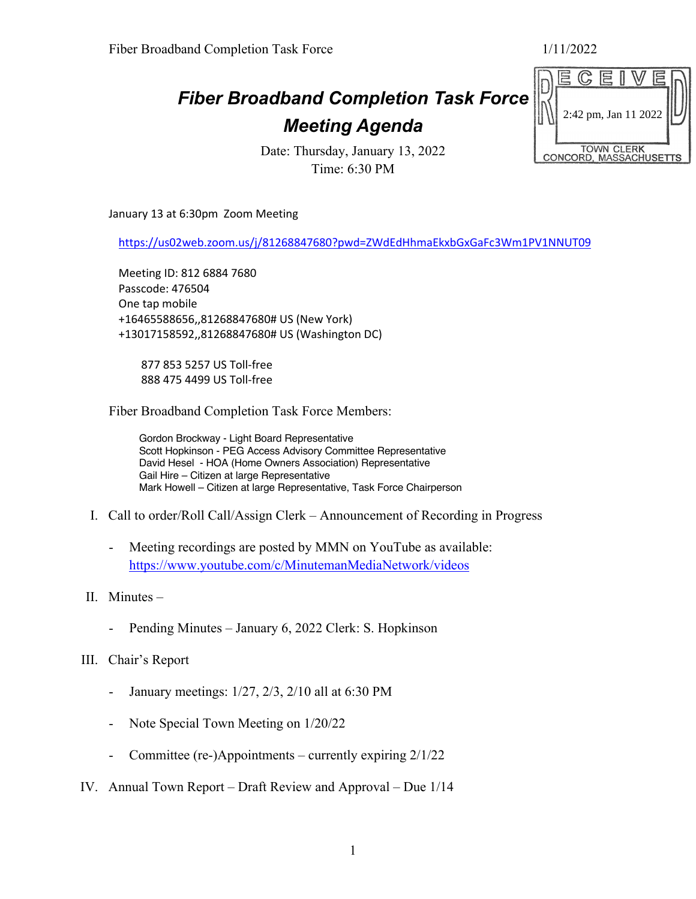## *Fiber Broadband Completion Task Force Meeting Agenda*

Date: Thursday, January 13, 2022 Time: 6:30 PM

January 13 at 6:30pm Zoom Meeting

https://us02web.zoom.us/j/81268847680?pwd=ZWdEdHhmaEkxbGxGaFc3Wm1PV1NNUT09

Meeting ID: 812 6884 7680 Passcode: 476504 One tap mobile +16465588656,,81268847680# US (New York) +13017158592,,81268847680# US (Washington DC)

 877 853 5257 US Toll-free 888 475 4499 US Toll-free

Fiber Broadband Completion Task Force Members:

Gordon Brockway - Light Board Representative Scott Hopkinson - PEG Access Advisory Committee Representative David Hesel - HOA (Home Owners Association) Representative Gail Hire – Citizen at large Representative Mark Howell – Citizen at large Representative, Task Force Chairperson

- I. Call to order/Roll Call/Assign Clerk Announcement of Recording in Progress
	- Meeting recordings are posted by MMN on YouTube as available: https://www.youtube.com/c/MinutemanMediaNetwork/videos
- II. Minutes
	- Pending Minutes January 6, 2022 Clerk: S. Hopkinson
- III. Chair's Report
	- January meetings:  $1/27$ ,  $2/3$ ,  $2/10$  all at 6:30 PM
	- Note Special Town Meeting on  $1/20/22$
	- Committee (re-)Appointments currently expiring 2/1/22
- IV. Annual Town Report Draft Review and Approval Due 1/14

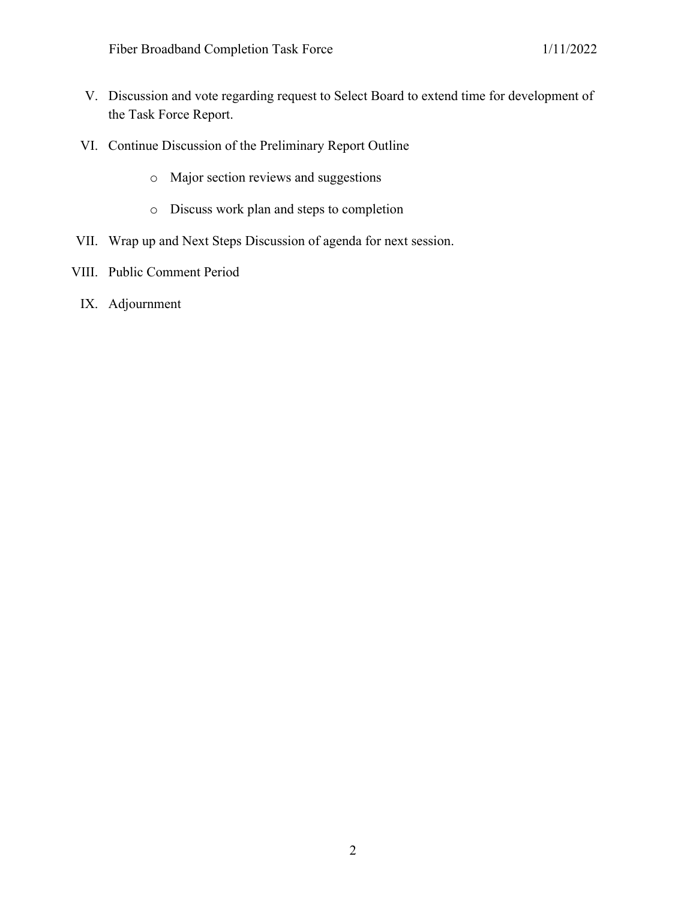- V. Discussion and vote regarding request to Select Board to extend time for development of the Task Force Report.
- VI. Continue Discussion of the Preliminary Report Outline
	- o Major section reviews and suggestions
	- o Discuss work plan and steps to completion
- VII. Wrap up and Next Steps Discussion of agenda for next session.
- VIII. Public Comment Period
	- IX. Adjournment